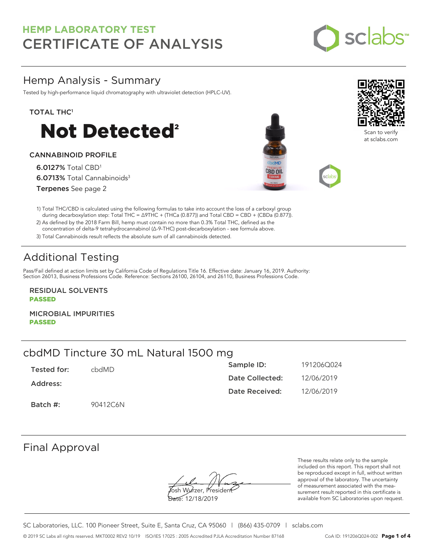

## Hemp Analysis - Summary

Tested by high-performance liquid chromatography with ultraviolet detection (HPLC-UV).

### TOTAL THC<sup>1</sup>



### CANNABINOID PROFILE

6.0127% Total CBD<sup>1</sup> 6.0713% Total Cannabinoids<sup>3</sup> Terpenes See page 2





Scan to verify at sclabs.com

1) Total THC/CBD is calculated using the following formulas to take into account the loss of a carboxyl group during decarboxylation step: Total THC = ∆9THC + (THCa (0.877)) and Total CBD = CBD + (CBDa (0.877)).

2) As defined by the 2018 Farm Bill, hemp must contain no more than 0.3% Total THC, defined as the concentration of delta-9 tetrahydrocannabinol (Δ-9-THC) post-decarboxylation - see formula above.

3) Total Cannabinoids result reflects the absolute sum of all cannabinoids detected.

# Additional Testing

Pass/Fail defined at action limits set by California Code of Regulations Title 16. Effective date: January 16, 2019. Authority: Section 26013, Business Professions Code. Reference: Sections 26100, 26104, and 26110, Business Professions Code.

RESIDUAL SOLVENTS PASSED

MICROBIAL IMPURITIES PASSED

## cbdMD Tincture 30 mL Natural 1500 mg

| Tested for: | chdMD.   | Sample ID:      | 191206Q024 |
|-------------|----------|-----------------|------------|
| Address:    |          | Date Collected: | 12/06/2019 |
|             |          | Date Received:  | 12/06/2019 |
| Batch #:    | 90412C6N |                 |            |

## Final Approval

Josh Wurzer, President

Date: 12/18/2019

These results relate only to the sample included on this report. This report shall not be reproduced except in full, without written approval of the laboratory. The uncertainty of measurement associated with the measurement result reported in this certificate is available from SC Laboratories upon request.

SC Laboratories, LLC. 100 Pioneer Street, Suite E, Santa Cruz, CA 95060 | (866) 435-0709 | sclabs.com © 2019 SC Labs all rights reserved. MKT0002 REV2 10/19 ISO/IES 17025 : 2005 Accredited PJLA Accreditation Number 87168 CoA ID: 191206Q024-002 **Page 1 of 4**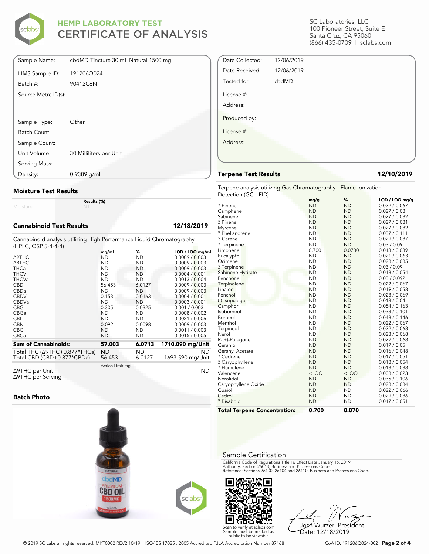

| Sample Name:        | cbdMD Tincture 30 mL Natural 1500 mg |
|---------------------|--------------------------------------|
| LIMS Sample ID:     | 191206Q024                           |
| Batch #:            | 90412C6N                             |
| Source Metrc ID(s): |                                      |
|                     |                                      |
|                     |                                      |
| Sample Type:        | Other                                |
| Batch Count:        |                                      |
| Sample Count:       |                                      |
| Unit Volume:        | 30 Milliliters per Unit              |
| Serving Mass:       |                                      |
| Density:            | $0.9389$ g/mL                        |

### Moisture Test Results

Moisture

### Cannabinoid Test Results 12/18/2019

Cannabinoid analysis utilizing High Performance Liquid Chromatography (HPLC, QSP 5-4-4-4)

Results (%)

|                                                                    | mg/mL           | %             | LOD / LOQ mg/mL               |
|--------------------------------------------------------------------|-----------------|---------------|-------------------------------|
| ∆9THC                                                              | ND              | ND            | 0.0009 / 0.003                |
| $\triangle$ 8THC                                                   | <b>ND</b>       | <b>ND</b>     | 0.0009 / 0.003                |
| <b>THCa</b>                                                        | <b>ND</b>       | <b>ND</b>     | 0.0009 / 0.003                |
| <b>THCV</b>                                                        | <b>ND</b>       | ND            | 0.0004 / 0.001                |
| <b>THCVa</b>                                                       | <b>ND</b>       | <b>ND</b>     | 0.0013 / 0.004                |
| <b>CBD</b>                                                         | 56.453          | 6.0127        | 0.0009 / 0.003                |
| CBDa                                                               | <b>ND</b>       | ND            | 0.0009 / 0.003                |
| <b>CBDV</b>                                                        | 0.153           | 0.0163        | 0.0004 / 0.001                |
| <b>CBDVa</b>                                                       | <b>ND</b>       | <b>ND</b>     | 0.0003 / 0.001                |
| <b>CBG</b>                                                         | 0.305           | 0.0325        | 0.001 / 0.003                 |
| CBGa                                                               | <b>ND</b>       | <b>ND</b>     | 0.0008 / 0.002                |
| <b>CBL</b>                                                         | <b>ND</b>       | <b>ND</b>     | 0.0021 / 0.006                |
| <b>CBN</b>                                                         | 0.092           | 0.0098        | 0.0009 / 0.003                |
| <b>CBC</b>                                                         | <b>ND</b>       | <b>ND</b>     | 0.0011 / 0.003                |
| <b>CBCa</b>                                                        | <b>ND</b>       | ND            | 0.0015 / 0.005                |
| <b>Sum of Cannabinoids:</b>                                        | 57.003          | 6.0713        | 1710.090 mg/Unit              |
|                                                                    |                 |               |                               |
| Total THC $(\Delta$ 9THC+0.877*THCa)<br>Total CBD (CBD+0.877*CBDa) | ND<br>56.453    | ND.<br>6.0127 | <b>ND</b><br>1693.590 mg/Unit |
| Δ9THC per Unit                                                     | Action Limit mg |               | ND                            |
|                                                                    |                 |               |                               |

Δ9THC per Unit Δ9THC per Serving

### Batch Photo



SC Laboratories, LLC 100 Pioneer Street, Suite E Santa Cruz, CA 95060 (866) 435-0709 | sclabs.com

| Date Collected: | 12/06/2019 |  |
|-----------------|------------|--|
| Date Received:  | 12/06/2019 |  |
|                 |            |  |
| Tested for:     | cbdMD      |  |
| License #:      |            |  |
| Address:        |            |  |
| Produced by:    |            |  |
| License #:      |            |  |
| Address:        |            |  |
|                 |            |  |

### Terpene Test Results 12/10/2019

Terpene analysis utilizing Gas Chromatography - Flame Ionization Detection (GC - FID)

|                                     | mg/g      | %         | LOD / LOQ mg/g |
|-------------------------------------|-----------|-----------|----------------|
| <b>7</b> Pinene                     | <b>ND</b> | <b>ND</b> | 0.022 / 0.067  |
| Camphene                            | <b>ND</b> | <b>ND</b> | 0.027 / 0.08   |
| Sabinene                            | <b>ND</b> | <b>ND</b> | 0.027 / 0.082  |
| <b>7</b> Pinene                     | <b>ND</b> | <b>ND</b> | 0.027 / 0.081  |
| Myrcene                             | <b>ND</b> | <b>ND</b> | 0.027 / 0.082  |
| <sup>2</sup> Phellandrene           | <b>ND</b> | <b>ND</b> | 0.037 / 0.111  |
| 3 Carene                            | <b>ND</b> | <b>ND</b> | 0.029 / 0.087  |
| <b>7</b> Terpinene                  | <b>ND</b> | <b>ND</b> | 0.03 / 0.09    |
| Limonene                            | 0.700     | 0.0700    | 0.013 / 0.039  |
| Eucalyptol                          | <b>ND</b> | <b>ND</b> | 0.021 / 0.063  |
| Ocimene                             | <b>ND</b> | <b>ND</b> | 0.028 / 0.085  |
| 7 Terpinene                         | <b>ND</b> | <b>ND</b> | 0.03 / 0.09    |
| Sabinene Hydrate                    | <b>ND</b> | <b>ND</b> | 0.018 / 0.054  |
| Fenchone                            | <b>ND</b> | <b>ND</b> | 0.03 / 0.092   |
| Terpinolene                         | <b>ND</b> | <b>ND</b> | 0.022 / 0.067  |
| Linalool                            | <b>ND</b> | <b>ND</b> | 0.019 / 0.058  |
| Fenchol                             | <b>ND</b> | <b>ND</b> | 0.023 / 0.069  |
| (-)-Isopulegol                      | <b>ND</b> | <b>ND</b> | 0.013 / 0.04   |
| Camphor                             | <b>ND</b> | <b>ND</b> | 0.054 / 0.163  |
| Isoborneol                          | <b>ND</b> | <b>ND</b> | 0.033 / 0.101  |
| Borneol                             | <b>ND</b> | <b>ND</b> | 0.048 / 0.146  |
| Menthol                             | <b>ND</b> | <b>ND</b> | 0.022 / 0.067  |
| Terpineol                           | <b>ND</b> | <b>ND</b> | 0.022 / 0.068  |
| Nerol                               | <b>ND</b> | <b>ND</b> | 0.023 / 0.068  |
| R-(+)-Pulegone                      | <b>ND</b> | <b>ND</b> | 0.022 / 0.068  |
| Geraniol                            | <b>ND</b> | <b>ND</b> | 0.017 / 0.05   |
| Geranyl Acetate                     | <b>ND</b> | <b>ND</b> | 0.016 / 0.048  |
| <b>7 Cedrene</b>                    | <b>ND</b> | <b>ND</b> | 0.017 / 0.051  |
| 7 Caryophyllene                     | <b>ND</b> | <b>ND</b> | 0.018 / 0.054  |
| <b>7 Humulene</b>                   | <b>ND</b> | <b>ND</b> | 0.013 / 0.038  |
| Valencene                           | $<$ LOQ   | $<$ LOQ   | 0.008 / 0.023  |
| Nerolidol                           | <b>ND</b> | <b>ND</b> | 0.035 / 0.106  |
| Caryophyllene Oxide                 | <b>ND</b> | <b>ND</b> | 0.028 / 0.084  |
| Guaiol                              | <b>ND</b> | <b>ND</b> | 0.022 / 0.066  |
| Cedrol                              | <b>ND</b> | <b>ND</b> | 0.029 / 0.086  |
| <b>7</b> Bisabolol                  | <b>ND</b> | <b>ND</b> | 0.017 / 0.051  |
| <b>Total Terpene Concentration:</b> | 0.700     | 0.070     |                |

### Sample Certification

California Code of Regulations Title 16 Effect Date January 16, 2019<br>Authority: Section 26013, Business and Professions Code.<br>Reference: Sections 26100, 26104 and 26110, Business and Professions Code.

Scan to verify at sclabs.com Sample must be marked as public to be viewable

Josh Wurzer, President Date: 12/18/2019

© 2019 SC Labs all rights reserved. MKT0002 REV2 10/19 ISO/IES 17025 : 2005 Accredited PJLA Accreditation Number 87168 CoA ID: 191206Q024-002 **Page 2 of 4**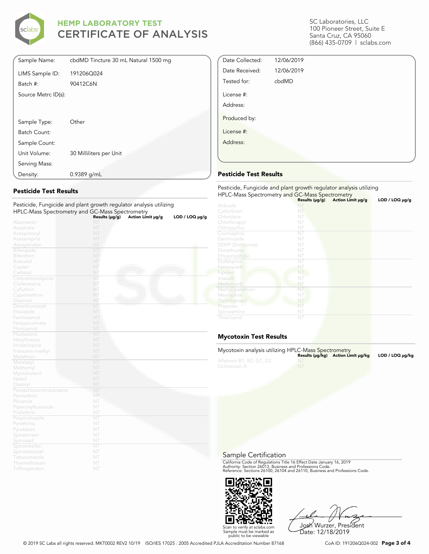

| Sample Name:        | cbdMD Tincture 30 mL Natural 1500 mg |
|---------------------|--------------------------------------|
| LIMS Sample ID:     | 191206Q024                           |
| Batch #:            | 90412C6N                             |
| Source Metrc ID(s): |                                      |
|                     |                                      |
|                     |                                      |
| Sample Type:        | Other                                |
| Batch Count:        |                                      |
| Sample Count:       |                                      |
| Unit Volume:        | 30 Milliliters per Unit              |
| Serving Mass:       |                                      |
| Density:            | $0.9389$ g/mL                        |

### Pesticide Test Results

| Pesticide, Fungicide and plant growth regulator analysis utilizing |                |                   |                |
|--------------------------------------------------------------------|----------------|-------------------|----------------|
| HPLC-Mass Spectrometry and GC-Mass Spectrometry                    |                |                   |                |
|                                                                    | Results (µg/g) | Action Limit µg/g | LOD / LOQ µg/g |
| Abamectin                                                          | NT             |                   |                |
| Acephate                                                           | NT             |                   |                |
| Acequinocyl                                                        | NT             |                   |                |
| Acetamiprid                                                        | NT             |                   |                |
| Azoxystrobin                                                       | NT             |                   |                |
| <b>Bifenazate</b>                                                  | NT             |                   |                |
| <b>Bifenthrin</b>                                                  | NT             |                   |                |
| <b>Boscalid</b>                                                    | NT             |                   |                |
| Captan                                                             | NT             |                   |                |
| Carbaryl                                                           | NT             |                   |                |
| Chlorantraniliprole                                                | NT             |                   |                |
| Clofentezine                                                       | NT             |                   |                |
| Cyfluthrin                                                         | NT             |                   |                |
| Cypermethrin                                                       | NT             |                   |                |
| Diazinon                                                           | NT             |                   |                |
| Dimethomorph                                                       | NT             |                   |                |
| Etoxazole                                                          | NT             |                   |                |
| Fenhexamid                                                         | NT             |                   |                |
| Fenpyroximate                                                      | NT             |                   |                |
| Flonicamid                                                         | NT             |                   |                |
| Fludioxonil                                                        | NT             |                   |                |
| Hexythiazox                                                        | NT             |                   |                |
| Imidacloprid                                                       | NT             |                   |                |
| Kresoxim-methyl                                                    | NT             |                   |                |
| Malathion                                                          | NT             |                   |                |
| Metalaxyl                                                          | NT             |                   |                |
| Methomyl                                                           | NT             |                   |                |
| Myclobutanil                                                       | NT             |                   |                |
| Naled                                                              | NT             |                   |                |
| Oxamyl                                                             | NT             |                   |                |
| Pentachloronitrobenzene                                            | NT             |                   |                |
| Permethrin                                                         | NT             |                   |                |
| Phosmet                                                            | NT             |                   |                |
| Piperonylbutoxide                                                  | NT             |                   |                |
| Prallethrin                                                        | NT             |                   |                |
| Propiconazole                                                      | NT             |                   |                |
| Pyrethrins                                                         | NT             |                   |                |
| Pyridaben                                                          | NT             |                   |                |
| Spinetoram                                                         | NT             |                   |                |
| Spinosad                                                           | NT             |                   |                |
| Spiromesiten                                                       | NT             |                   |                |
| Spirotetramat                                                      | NT             |                   |                |
| Tebuconazole                                                       | NT             |                   |                |
| Thiamethoxam                                                       | NT             |                   |                |
| Trifloxystrobin                                                    | NT             |                   |                |

SC Laboratories, LLC 100 Pioneer Street, Suite E Santa Cruz, CA 95060 (866) 435-0709 | sclabs.com

| Date Collected: | 12/06/2019 |  |
|-----------------|------------|--|
| Date Received:  | 12/06/2019 |  |
| Tested for:     | cbdMD      |  |
| License #:      |            |  |
| Address:        |            |  |
| Produced by:    |            |  |
| License #:      |            |  |
| Address:        |            |  |
|                 |            |  |

### Pesticide Test Results

| Pesticide, Fungicide and plant growth regulator analysis utilizing<br>HPLC-Mass Spectrometry and GC-Mass Spectrometry |                |                   |                |  |
|-----------------------------------------------------------------------------------------------------------------------|----------------|-------------------|----------------|--|
|                                                                                                                       | Results (µg/g) | Action Limit µg/g | LOD / LOQ µg/g |  |
| Aldicarb                                                                                                              |                |                   |                |  |
| Carbofuran                                                                                                            | NT             |                   |                |  |
| Chlordane                                                                                                             | NT             |                   |                |  |
| Chlorfenapyr                                                                                                          | NT             |                   |                |  |
| Chlorpyrifos                                                                                                          | NT             |                   |                |  |
| Coumaphos                                                                                                             | NT             |                   |                |  |
| Daminozide                                                                                                            | NT             |                   |                |  |
| <b>DDVP</b> (Dichlorvos)                                                                                              | NT             |                   |                |  |
| Dimethoate                                                                                                            | NT             |                   |                |  |
| Ethoprop(hos)                                                                                                         | NT             |                   |                |  |
| Etofenprox                                                                                                            | NT             |                   |                |  |
| Fenoxycarb                                                                                                            | NT             |                   |                |  |
| Fipronil                                                                                                              | NT             |                   |                |  |
| Imazalil                                                                                                              | NT             |                   |                |  |
| Methiocarb                                                                                                            | NT             |                   |                |  |
| Methyl parathion                                                                                                      | NT             |                   |                |  |
| Mevinphos                                                                                                             | NT             |                   |                |  |
| Paclobutrazol                                                                                                         | NT             |                   |                |  |
| Propoxur                                                                                                              | NT             |                   |                |  |
| Spiroxamine                                                                                                           | NT             |                   |                |  |
| Thiacloprid                                                                                                           | NT             |                   |                |  |

### Mycotoxin Test Results

| Mycotoxin analysis utilizing HPLC-Mass Spectrometry |                                    |                 |
|-----------------------------------------------------|------------------------------------|-----------------|
| Aflatoxin B1, B2, G1, G2<br>Ochratoxin A            | Results (µq/kq) Action Limit µq/kq | LOD / LOQ µq/kq |

Sample Certification

California Code of Regulations Title 16 Effect Date January 16, 2019<br>Authority: Section 26013, Business and Professions Code.<br>Reference: Sections 26100, 26104 and 26110, Business and Professions Code.



Josh Wurzer, President Date: 12/18/2019

© 2019 SC Labs all rights reserved. MKT0002 REV2 10/19 ISO/IES 17025 : 2005 Accredited PJLA Accreditation Number 87168 CoA ID: 191206Q024-002 **Page 3 of 4**